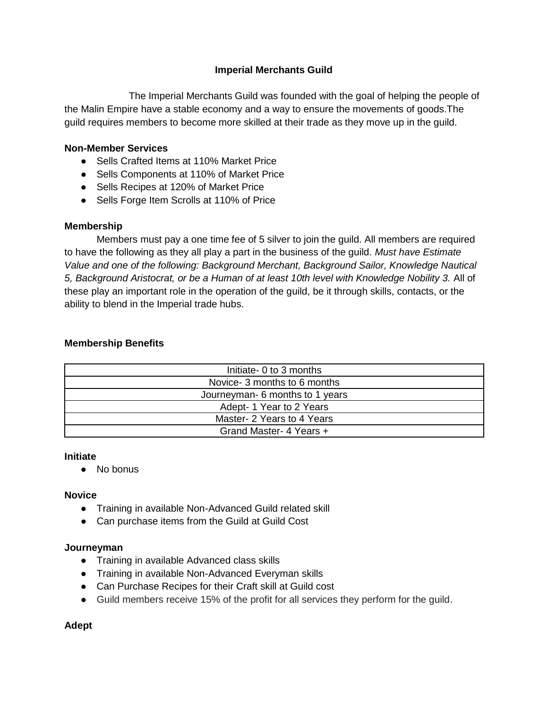# **Imperial Merchants Guild**

The Imperial Merchants Guild was founded with the goal of helping the people of the Malin Empire have a stable economy and a way to ensure the movements of goods.The guild requires members to become more skilled at their trade as they move up in the guild.

# **Non-Member Services**

- Sells Crafted Items at 110% Market Price
- Sells Components at 110% of Market Price
- Sells Recipes at 120% of Market Price
- Sells Forge Item Scrolls at 110% of Price

# **Membership**

Members must pay a one time fee of 5 silver to join the guild. All members are required to have the following as they all play a part in the business of the guild. *Must have Estimate Value and one of the following: Background Merchant, Background Sailor, Knowledge Nautical 5, Background Aristocrat, or be a Human of at least 10th level with Knowledge Nobility 3.* All of these play an important role in the operation of the guild, be it through skills, contacts, or the ability to blend in the Imperial trade hubs.

# **Membership Benefits**

| Initiate- 0 to 3 months         |
|---------------------------------|
| Novice- 3 months to 6 months    |
| Journeyman- 6 months to 1 years |
| Adept-1 Year to 2 Years         |
| Master- 2 Years to 4 Years      |
| Grand Master- 4 Years +         |

### **Initiate**

● No bonus

### **Novice**

- Training in available Non-Advanced Guild related skill
- Can purchase items from the Guild at Guild Cost

### **Journeyman**

- Training in available Advanced class skills
- Training in available Non-Advanced Everyman skills
- Can Purchase Recipes for their Craft skill at Guild cost
- Guild members receive 15% of the profit for all services they perform for the guild.

### **Adept**